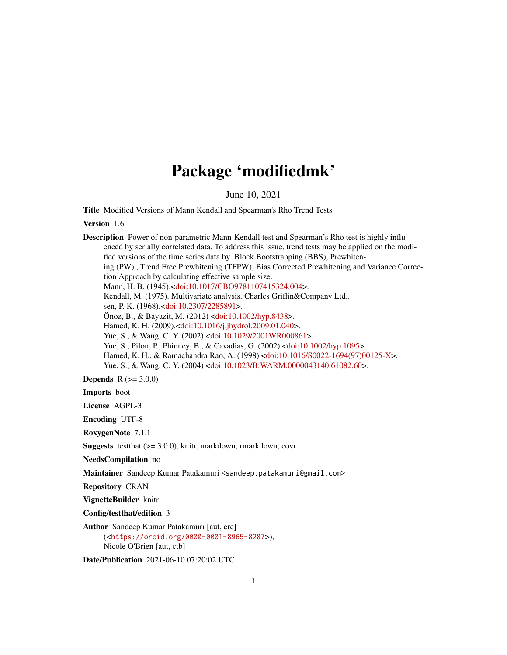## Package 'modifiedmk'

June 10, 2021

Title Modified Versions of Mann Kendall and Spearman's Rho Trend Tests

Version 1.6

Description Power of non-parametric Mann-Kendall test and Spearman's Rho test is highly influenced by serially correlated data. To address this issue, trend tests may be applied on the modified versions of the time series data by Block Bootstrapping (BBS), Prewhitening (PW) , Trend Free Prewhitening (TFPW), Bias Corrected Prewhitening and Variance Correction Approach by calculating effective sample size. Mann, H. B. (1945).[<doi:10.1017/CBO9781107415324.004>](https://doi.org/10.1017/CBO9781107415324.004). Kendall, M. (1975). Multivariate analysis. Charles Griffin&Company Ltd,. sen, P. K. (1968).[<doi:10.2307/2285891>](https://doi.org/10.2307/2285891). Önöz, B., & Bayazit, M. (2012) [<doi:10.1002/hyp.8438>](https://doi.org/10.1002/hyp.8438). Hamed, K. H. (2009).[<doi:10.1016/j.jhydrol.2009.01.040>](https://doi.org/10.1016/j.jhydrol.2009.01.040). Yue, S., & Wang, C. Y. (2002) [<doi:10.1029/2001WR000861>](https://doi.org/10.1029/2001WR000861). Yue, S., Pilon, P., Phinney, B., & Cavadias, G. (2002) [<doi:10.1002/hyp.1095>](https://doi.org/10.1002/hyp.1095). Hamed, K. H., & Ramachandra Rao, A. (1998) [<doi:10.1016/S0022-1694\(97\)00125-X>](https://doi.org/10.1016/S0022-1694(97)00125-X). Yue, S., & Wang, C. Y. (2004) [<doi:10.1023/B:WARM.0000043140.61082.60>](https://doi.org/10.1023/B:WARM.0000043140.61082.60). **Depends**  $R (= 3.0.0)$ Imports boot License AGPL-3 Encoding UTF-8 RoxygenNote 7.1.1 Suggests testthat (>= 3.0.0), knitr, markdown, rmarkdown, covr NeedsCompilation no Maintainer Sandeep Kumar Patakamuri <sandeep.patakamuri@gmail.com> Repository CRAN

VignetteBuilder knitr

Config/testthat/edition 3

Author Sandeep Kumar Patakamuri [aut, cre] (<<https://orcid.org/0000-0001-8965-8287>>), Nicole O'Brien [aut, ctb]

Date/Publication 2021-06-10 07:20:02 UTC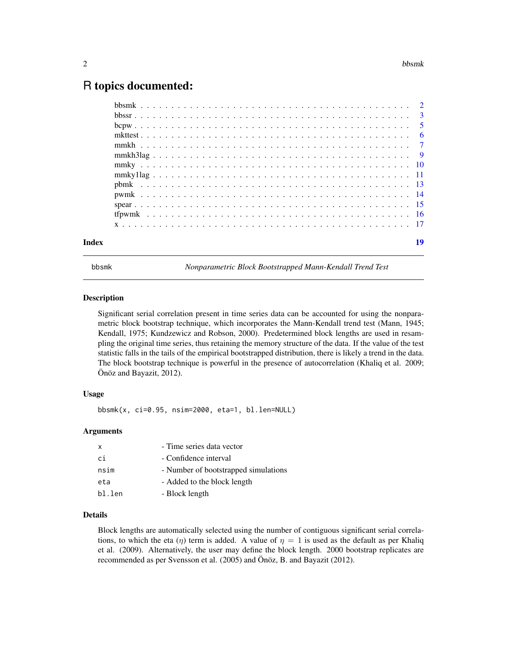## <span id="page-1-0"></span>R topics documented:

bbsmk *Nonparametric Block Bootstrapped Mann-Kendall Trend Test*

#### Description

Significant serial correlation present in time series data can be accounted for using the nonparametric block bootstrap technique, which incorporates the Mann-Kendall trend test (Mann, 1945; Kendall, 1975; Kundzewicz and Robson, 2000). Predetermined block lengths are used in resampling the original time series, thus retaining the memory structure of the data. If the value of the test statistic falls in the tails of the empirical bootstrapped distribution, there is likely a trend in the data. The block bootstrap technique is powerful in the presence of autocorrelation (Khaliq et al. 2009; Önöz and Bayazit, 2012).

#### Usage

bbsmk(x, ci=0.95, nsim=2000, eta=1, bl.len=NULL)

#### Arguments

| $\mathsf{x}$ | - Time series data vector            |
|--------------|--------------------------------------|
| сi           | - Confidence interval                |
| nsim         | - Number of bootstrapped simulations |
| eta          | - Added to the block length          |
| bl.len       | - Block length                       |

#### Details

Block lengths are automatically selected using the number of contiguous significant serial correlations, to which the eta (η) term is added. A value of  $\eta = 1$  is used as the default as per Khaliq et al. (2009). Alternatively, the user may define the block length. 2000 bootstrap replicates are recommended as per Svensson et al. (2005) and Önöz, B. and Bayazit (2012).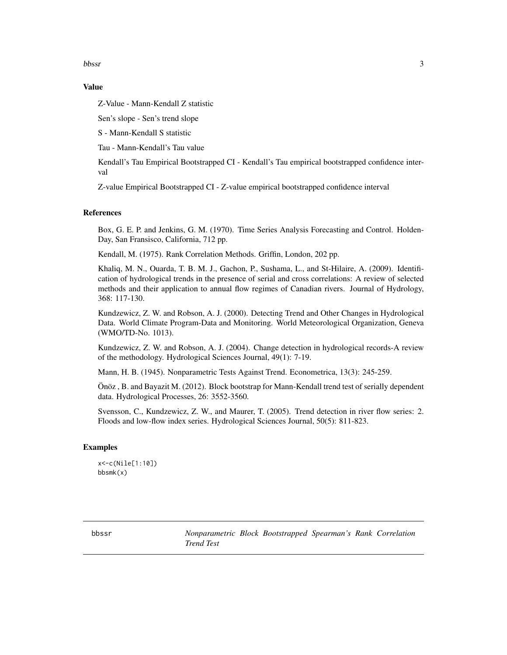<span id="page-2-0"></span>bbssr 3

#### Value

Z-Value - Mann-Kendall Z statistic

Sen's slope - Sen's trend slope

S - Mann-Kendall S statistic

Tau - Mann-Kendall's Tau value

Kendall's Tau Empirical Bootstrapped CI - Kendall's Tau empirical bootstrapped confidence interval

Z-value Empirical Bootstrapped CI - Z-value empirical bootstrapped confidence interval

#### **References**

Box, G. E. P. and Jenkins, G. M. (1970). Time Series Analysis Forecasting and Control. Holden-Day, San Fransisco, California, 712 pp.

Kendall, M. (1975). Rank Correlation Methods. Griffin, London, 202 pp.

Khaliq, M. N., Ouarda, T. B. M. J., Gachon, P., Sushama, L., and St-Hilaire, A. (2009). Identification of hydrological trends in the presence of serial and cross correlations: A review of selected methods and their application to annual flow regimes of Canadian rivers. Journal of Hydrology, 368: 117-130.

Kundzewicz, Z. W. and Robson, A. J. (2000). Detecting Trend and Other Changes in Hydrological Data. World Climate Program-Data and Monitoring. World Meteorological Organization, Geneva (WMO/TD-No. 1013).

Kundzewicz, Z. W. and Robson, A. J. (2004). Change detection in hydrological records-A review of the methodology. Hydrological Sciences Journal, 49(1): 7-19.

Mann, H. B. (1945). Nonparametric Tests Against Trend. Econometrica, 13(3): 245-259.

Önöz , B. and Bayazit M. (2012). Block bootstrap for Mann-Kendall trend test of serially dependent data. Hydrological Processes, 26: 3552-3560.

Svensson, C., Kundzewicz, Z. W., and Maurer, T. (2005). Trend detection in river flow series: 2. Floods and low-flow index series. Hydrological Sciences Journal, 50(5): 811-823.

#### Examples

x<-c(Nile[1:10]) bbsmk(x)

bbssr *Nonparametric Block Bootstrapped Spearman's Rank Correlation Trend Test*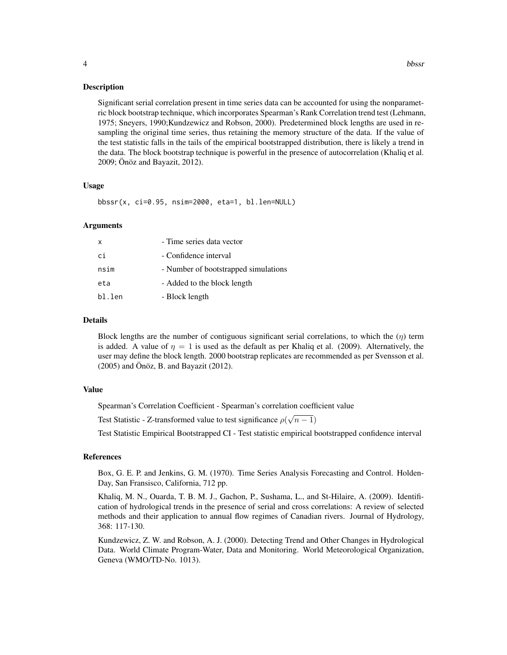#### Description

Significant serial correlation present in time series data can be accounted for using the nonparametric block bootstrap technique, which incorporates Spearman's Rank Correlation trend test (Lehmann, 1975; Sneyers, 1990;Kundzewicz and Robson, 2000). Predetermined block lengths are used in resampling the original time series, thus retaining the memory structure of the data. If the value of the test statistic falls in the tails of the empirical bootstrapped distribution, there is likely a trend in the data. The block bootstrap technique is powerful in the presence of autocorrelation (Khaliq et al. 2009; Önöz and Bayazit, 2012).

#### Usage

bbssr(x, ci=0.95, nsim=2000, eta=1, bl.len=NULL)

#### Arguments

| X      | - Time series data vector            |
|--------|--------------------------------------|
| ci     | - Confidence interval                |
| nsim   | - Number of bootstrapped simulations |
| eta    | - Added to the block length          |
| bl.len | - Block length                       |
|        |                                      |

#### Details

Block lengths are the number of contiguous significant serial correlations, to which the  $(\eta)$  term is added. A value of  $\eta = 1$  is used as the default as per Khaliq et al. (2009). Alternatively, the user may define the block length. 2000 bootstrap replicates are recommended as per Svensson et al. (2005) and Önöz, B. and Bayazit (2012).

#### Value

Spearman's Correlation Coefficient - Spearman's correlation coefficient value

Test Statistic - Z-transformed value to test significance  $\rho(\sqrt{n-1})$ 

Test Statistic Empirical Bootstrapped CI - Test statistic empirical bootstrapped confidence interval

#### References

Box, G. E. P. and Jenkins, G. M. (1970). Time Series Analysis Forecasting and Control. Holden-Day, San Fransisco, California, 712 pp.

Khaliq, M. N., Ouarda, T. B. M. J., Gachon, P., Sushama, L., and St-Hilaire, A. (2009). Identification of hydrological trends in the presence of serial and cross correlations: A review of selected methods and their application to annual flow regimes of Canadian rivers. Journal of Hydrology, 368: 117-130.

Kundzewicz, Z. W. and Robson, A. J. (2000). Detecting Trend and Other Changes in Hydrological Data. World Climate Program-Water, Data and Monitoring. World Meteorological Organization, Geneva (WMO/TD-No. 1013).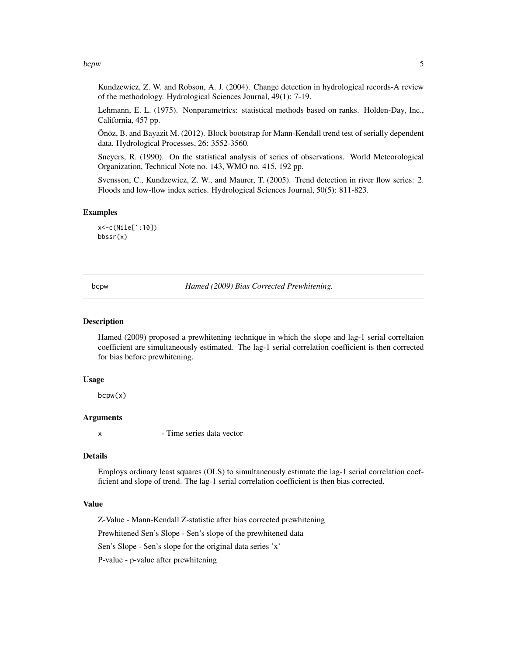#### <span id="page-4-0"></span>bcpw 5

Kundzewicz, Z. W. and Robson, A. J. (2004). Change detection in hydrological records-A review of the methodology. Hydrological Sciences Journal, 49(1): 7-19.

Lehmann, E. L. (1975). Nonparametrics: statistical methods based on ranks. Holden-Day, Inc., California, 457 pp.

Önöz, B. and Bayazit M. (2012). Block bootstrap for Mann-Kendall trend test of serially dependent data. Hydrological Processes, 26: 3552-3560.

Sneyers, R. (1990). On the statistical analysis of series of observations. World Meteorological Organization, Technical Note no. 143, WMO no. 415, 192 pp.

Svensson, C., Kundzewicz, Z. W., and Maurer, T. (2005). Trend detection in river flow series: 2. Floods and low-flow index series. Hydrological Sciences Journal, 50(5): 811-823.

#### Examples

x<-c(Nile[1:10]) bbssr(x)

bcpw *Hamed (2009) Bias Corrected Prewhitening.*

#### Description

Hamed (2009) proposed a prewhitening technique in which the slope and lag-1 serial correltaion coefficient are simultaneously estimated. The lag-1 serial correlation coefficient is then corrected for bias before prewhitening.

#### Usage

bcpw(x)

#### Arguments

x - Time series data vector

#### Details

Employs ordinary least squares (OLS) to simultaneously estimate the lag-1 serial correlation coefficient and slope of trend. The lag-1 serial correlation coefficient is then bias corrected.

#### Value

Z-Value - Mann-Kendall Z-statistic after bias corrected prewhitening

Prewhitened Sen's Slope - Sen's slope of the prewhitened data

Sen's Slope - Sen's slope for the original data series 'x'

P-value - p-value after prewhitening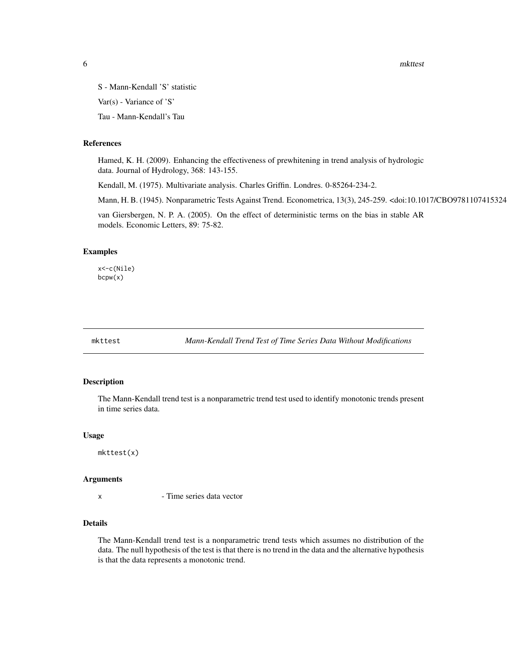<span id="page-5-0"></span>**6** mkttest

S - Mann-Kendall 'S' statistic Var(s) - Variance of 'S'

Tau - Mann-Kendall's Tau

#### References

Hamed, K. H. (2009). Enhancing the effectiveness of prewhitening in trend analysis of hydrologic data. Journal of Hydrology, 368: 143-155.

Kendall, M. (1975). Multivariate analysis. Charles Griffin. Londres. 0-85264-234-2.

Mann, H. B. (1945). Nonparametric Tests Against Trend. Econometrica, 13(3), 245-259. <doi:10.1017/CBO9781107415324

van Giersbergen, N. P. A. (2005). On the effect of deterministic terms on the bias in stable AR models. Economic Letters, 89: 75-82.

#### Examples

x<-c(Nile) bcpw(x)

mkttest *Mann-Kendall Trend Test of Time Series Data Without Modifications*

#### Description

The Mann-Kendall trend test is a nonparametric trend test used to identify monotonic trends present in time series data.

#### Usage

mkttest(x)

#### Arguments

x - Time series data vector

#### Details

The Mann-Kendall trend test is a nonparametric trend tests which assumes no distribution of the data. The null hypothesis of the test is that there is no trend in the data and the alternative hypothesis is that the data represents a monotonic trend.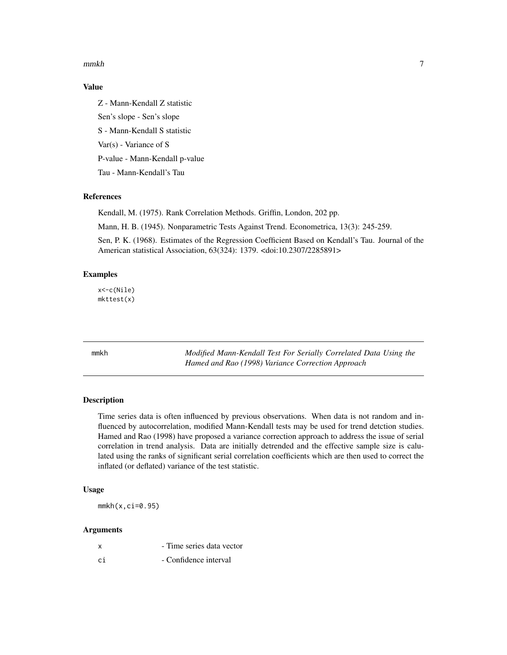<span id="page-6-0"></span> $m$ mkh  $\sim$  7

#### Value

Z - Mann-Kendall Z statistic Sen's slope - Sen's slope S - Mann-Kendall S statistic Var(s) - Variance of S P-value - Mann-Kendall p-value Tau - Mann-Kendall's Tau

#### References

Kendall, M. (1975). Rank Correlation Methods. Griffin, London, 202 pp.

Mann, H. B. (1945). Nonparametric Tests Against Trend. Econometrica, 13(3): 245-259.

Sen, P. K. (1968). Estimates of the Regression Coefficient Based on Kendall's Tau. Journal of the American statistical Association, 63(324): 1379. <doi:10.2307/2285891>

#### Examples

x<-c(Nile) mkttest(x)

mmkh *Modified Mann-Kendall Test For Serially Correlated Data Using the Hamed and Rao (1998) Variance Correction Approach*

#### Description

Time series data is often influenced by previous observations. When data is not random and influenced by autocorrelation, modified Mann-Kendall tests may be used for trend detction studies. Hamed and Rao (1998) have proposed a variance correction approach to address the issue of serial correlation in trend analysis. Data are initially detrended and the effective sample size is calulated using the ranks of significant serial correlation coefficients which are then used to correct the inflated (or deflated) variance of the test statistic.

#### Usage

 $mmkh(x, ci=0.95)$ 

#### Arguments

| x  | - Time series data vector |
|----|---------------------------|
| сi | - Confidence interval     |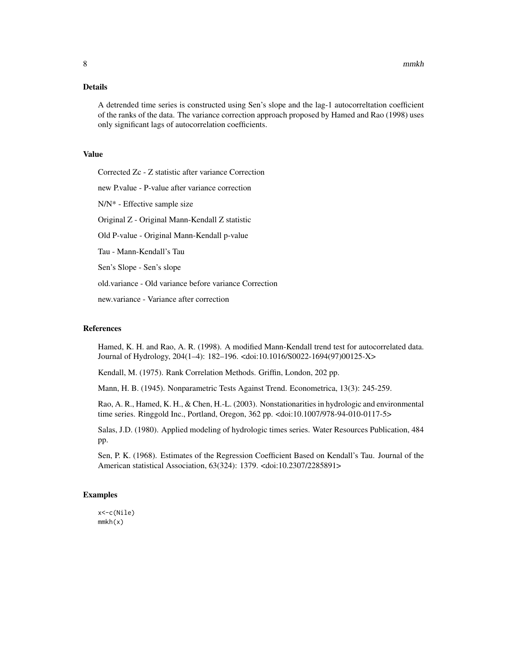#### Details

A detrended time series is constructed using Sen's slope and the lag-1 autocorreltation coefficient of the ranks of the data. The variance correction approach proposed by Hamed and Rao (1998) uses only significant lags of autocorrelation coefficients.

#### Value

Corrected Zc - Z statistic after variance Correction new P.value - P-value after variance correction N/N\* - Effective sample size Original Z - Original Mann-Kendall Z statistic Old P-value - Original Mann-Kendall p-value Tau - Mann-Kendall's Tau Sen's Slope - Sen's slope

old.variance - Old variance before variance Correction

new.variance - Variance after correction

#### References

Hamed, K. H. and Rao, A. R. (1998). A modified Mann-Kendall trend test for autocorrelated data. Journal of Hydrology, 204(1–4): 182–196. <doi:10.1016/S0022-1694(97)00125-X>

Kendall, M. (1975). Rank Correlation Methods. Griffin, London, 202 pp.

Mann, H. B. (1945). Nonparametric Tests Against Trend. Econometrica, 13(3): 245-259.

Rao, A. R., Hamed, K. H., & Chen, H.-L. (2003). Nonstationarities in hydrologic and environmental time series. Ringgold Inc., Portland, Oregon, 362 pp. <doi:10.1007/978-94-010-0117-5>

Salas, J.D. (1980). Applied modeling of hydrologic times series. Water Resources Publication, 484 pp.

Sen, P. K. (1968). Estimates of the Regression Coefficient Based on Kendall's Tau. Journal of the American statistical Association, 63(324): 1379. <doi:10.2307/2285891>

#### Examples

x<-c(Nile) mmkh(x)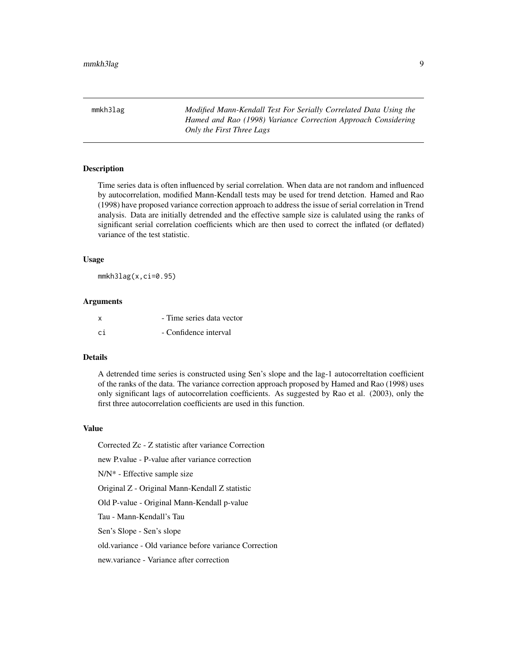<span id="page-8-0"></span>mmkh3lag *Modified Mann-Kendall Test For Serially Correlated Data Using the Hamed and Rao (1998) Variance Correction Approach Considering Only the First Three Lags*

#### **Description**

Time series data is often influenced by serial correlation. When data are not random and influenced by autocorrelation, modified Mann-Kendall tests may be used for trend detction. Hamed and Rao (1998) have proposed variance correction approach to address the issue of serial correlation in Trend analysis. Data are initially detrended and the effective sample size is calulated using the ranks of significant serial correlation coefficients which are then used to correct the inflated (or deflated) variance of the test statistic.

#### Usage

mmkh3lag(x,ci=0.95)

#### Arguments

| x   | - Time series data vector |
|-----|---------------------------|
| .ci | - Confidence interval     |

#### Details

A detrended time series is constructed using Sen's slope and the lag-1 autocorreltation coefficient of the ranks of the data. The variance correction approach proposed by Hamed and Rao (1998) uses only significant lags of autocorrelation coefficients. As suggested by Rao et al. (2003), only the first three autocorrelation coefficients are used in this function.

#### Value

Corrected Zc - Z statistic after variance Correction new P.value - P-value after variance correction N/N\* - Effective sample size Original Z - Original Mann-Kendall Z statistic Old P-value - Original Mann-Kendall p-value Tau - Mann-Kendall's Tau Sen's Slope - Sen's slope old.variance - Old variance before variance Correction

new.variance - Variance after correction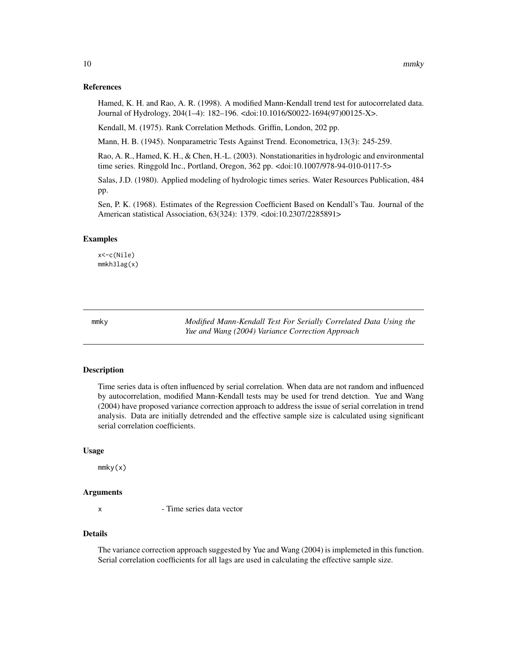#### <span id="page-9-0"></span>References

Hamed, K. H. and Rao, A. R. (1998). A modified Mann-Kendall trend test for autocorrelated data. Journal of Hydrology, 204(1–4): 182–196. <doi:10.1016/S0022-1694(97)00125-X>.

Kendall, M. (1975). Rank Correlation Methods. Griffin, London, 202 pp.

Mann, H. B. (1945). Nonparametric Tests Against Trend. Econometrica, 13(3): 245-259.

Rao, A. R., Hamed, K. H., & Chen, H.-L. (2003). Nonstationarities in hydrologic and environmental time series. Ringgold Inc., Portland, Oregon, 362 pp. <doi:10.1007/978-94-010-0117-5>

Salas, J.D. (1980). Applied modeling of hydrologic times series. Water Resources Publication, 484 pp.

Sen, P. K. (1968). Estimates of the Regression Coefficient Based on Kendall's Tau. Journal of the American statistical Association, 63(324): 1379. <doi:10.2307/2285891>

#### Examples

x<-c(Nile) mmkh3lag(x)

mmky *Modified Mann-Kendall Test For Serially Correlated Data Using the Yue and Wang (2004) Variance Correction Approach*

#### Description

Time series data is often influenced by serial correlation. When data are not random and influenced by autocorrelation, modified Mann-Kendall tests may be used for trend detction. Yue and Wang (2004) have proposed variance correction approach to address the issue of serial correlation in trend analysis. Data are initially detrended and the effective sample size is calculated using significant serial correlation coefficients.

#### Usage

 $m mky(x)$ 

#### Arguments

x - Time series data vector

#### Details

The variance correction approach suggested by Yue and Wang (2004) is implemeted in this function. Serial correlation coefficients for all lags are used in calculating the effective sample size.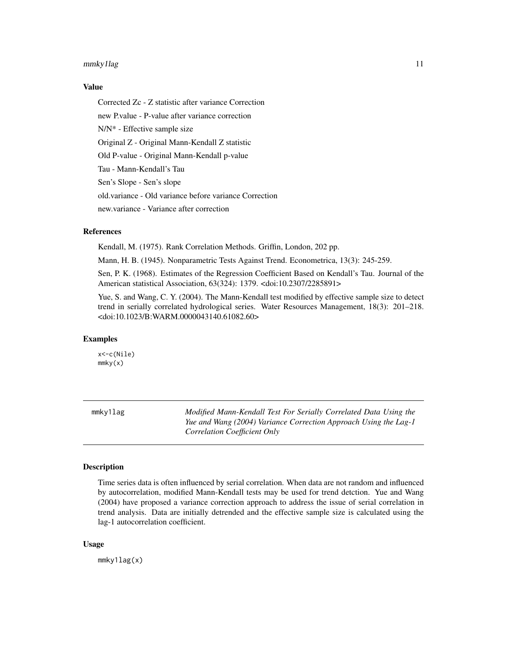#### <span id="page-10-0"></span>mmky1lag 11

#### Value

Corrected Zc - Z statistic after variance Correction new P.value - P-value after variance correction N/N\* - Effective sample size Original Z - Original Mann-Kendall Z statistic Old P-value - Original Mann-Kendall p-value Tau - Mann-Kendall's Tau Sen's Slope - Sen's slope old.variance - Old variance before variance Correction new.variance - Variance after correction

#### References

Kendall, M. (1975). Rank Correlation Methods. Griffin, London, 202 pp.

Mann, H. B. (1945). Nonparametric Tests Against Trend. Econometrica, 13(3): 245-259.

Sen, P. K. (1968). Estimates of the Regression Coefficient Based on Kendall's Tau. Journal of the American statistical Association, 63(324): 1379. <doi:10.2307/2285891>

Yue, S. and Wang, C. Y. (2004). The Mann-Kendall test modified by effective sample size to detect trend in serially correlated hydrological series. Water Resources Management, 18(3): 201–218. <doi:10.1023/B:WARM.0000043140.61082.60>

#### Examples

x<-c(Nile) mmky(x)

mmky1lag *Modified Mann-Kendall Test For Serially Correlated Data Using the Yue and Wang (2004) Variance Correction Approach Using the Lag-1 Correlation Coefficient Only*

#### **Description**

Time series data is often influenced by serial correlation. When data are not random and influenced by autocorrelation, modified Mann-Kendall tests may be used for trend detction. Yue and Wang (2004) have proposed a variance correction approach to address the issue of serial correlation in trend analysis. Data are initially detrended and the effective sample size is calculated using the lag-1 autocorrelation coefficient.

#### Usage

mmky1lag(x)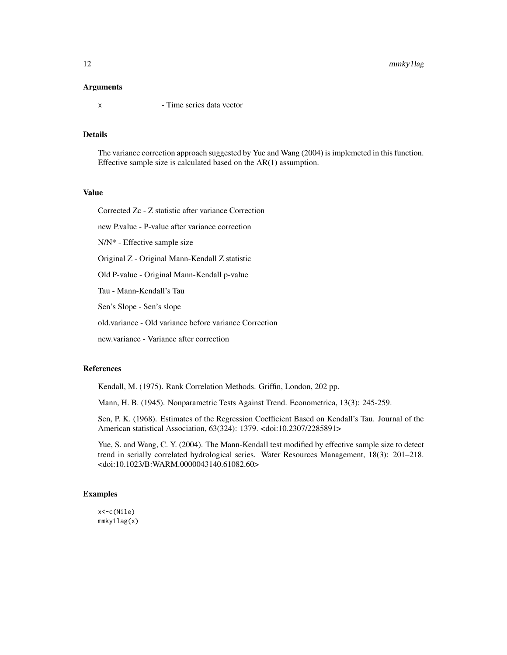#### **Arguments**

x - Time series data vector

#### Details

The variance correction approach suggested by Yue and Wang (2004) is implemeted in this function. Effective sample size is calculated based on the AR(1) assumption.

#### Value

Corrected Zc - Z statistic after variance Correction

new P.value - P-value after variance correction

N/N\* - Effective sample size

Original Z - Original Mann-Kendall Z statistic

Old P-value - Original Mann-Kendall p-value

Tau - Mann-Kendall's Tau

Sen's Slope - Sen's slope

old.variance - Old variance before variance Correction

new.variance - Variance after correction

#### References

Kendall, M. (1975). Rank Correlation Methods. Griffin, London, 202 pp.

Mann, H. B. (1945). Nonparametric Tests Against Trend. Econometrica, 13(3): 245-259.

Sen, P. K. (1968). Estimates of the Regression Coefficient Based on Kendall's Tau. Journal of the American statistical Association, 63(324): 1379. <doi:10.2307/2285891>

Yue, S. and Wang, C. Y. (2004). The Mann-Kendall test modified by effective sample size to detect trend in serially correlated hydrological series. Water Resources Management, 18(3): 201–218. <doi:10.1023/B:WARM.0000043140.61082.60>

#### Examples

x<-c(Nile) mmky1lag(x)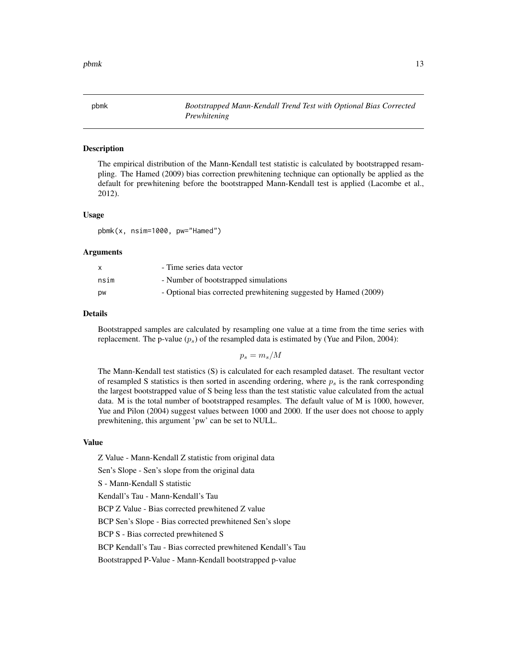<span id="page-12-0"></span>pbmk that the contract of the contract of the contract of the contract of the contract of the contract of the contract of the contract of the contract of the contract of the contract of the contract of the contract of the

#### Description

The empirical distribution of the Mann-Kendall test statistic is calculated by bootstrapped resampling. The Hamed (2009) bias correction prewhitening technique can optionally be applied as the default for prewhitening before the bootstrapped Mann-Kendall test is applied (Lacombe et al., 2012).

#### Usage

pbmk(x, nsim=1000, pw="Hamed")

#### Arguments

|           | - Time series data vector                                        |
|-----------|------------------------------------------------------------------|
| nsim      | - Number of bootstrapped simulations                             |
| <b>DW</b> | - Optional bias corrected prewhitening suggested by Hamed (2009) |

#### Details

Bootstrapped samples are calculated by resampling one value at a time from the time series with replacement. The p-value  $(p_s)$  of the resampled data is estimated by (Yue and Pilon, 2004):

 $p_s = m_s/M$ 

The Mann-Kendall test statistics (S) is calculated for each resampled dataset. The resultant vector of resampled S statistics is then sorted in ascending ordering, where  $p<sub>s</sub>$  is the rank corresponding the largest bootstrapped value of S being less than the test statistic value calculated from the actual data. M is the total number of bootstrapped resamples. The default value of M is 1000, however, Yue and Pilon (2004) suggest values between 1000 and 2000. If the user does not choose to apply prewhitening, this argument 'pw' can be set to NULL.

#### Value

Z Value - Mann-Kendall Z statistic from original data

Sen's Slope - Sen's slope from the original data

S - Mann-Kendall S statistic

Kendall's Tau - Mann-Kendall's Tau

BCP Z Value - Bias corrected prewhitened Z value

BCP Sen's Slope - Bias corrected prewhitened Sen's slope

BCP S - Bias corrected prewhitened S

BCP Kendall's Tau - Bias corrected prewhitened Kendall's Tau

Bootstrapped P-Value - Mann-Kendall bootstrapped p-value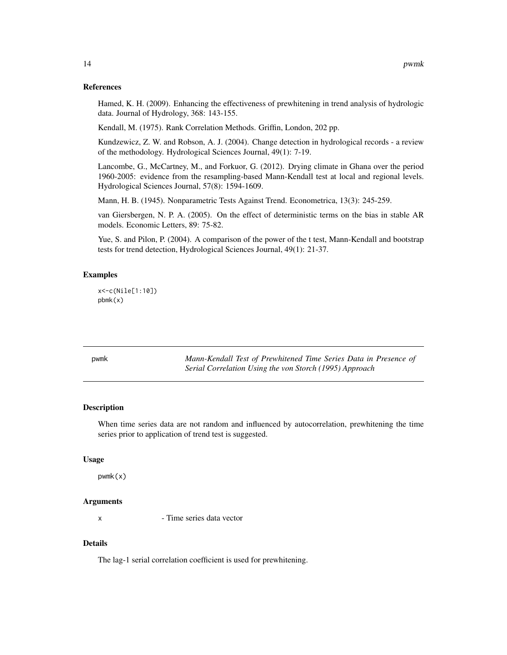#### <span id="page-13-0"></span>References

Hamed, K. H. (2009). Enhancing the effectiveness of prewhitening in trend analysis of hydrologic data. Journal of Hydrology, 368: 143-155.

Kendall, M. (1975). Rank Correlation Methods. Griffin, London, 202 pp.

Kundzewicz, Z. W. and Robson, A. J. (2004). Change detection in hydrological records - a review of the methodology. Hydrological Sciences Journal, 49(1): 7-19.

Lancombe, G., McCartney, M., and Forkuor, G. (2012). Drying climate in Ghana over the period 1960-2005: evidence from the resampling-based Mann-Kendall test at local and regional levels. Hydrological Sciences Journal, 57(8): 1594-1609.

Mann, H. B. (1945). Nonparametric Tests Against Trend. Econometrica, 13(3): 245-259.

van Giersbergen, N. P. A. (2005). On the effect of deterministic terms on the bias in stable AR models. Economic Letters, 89: 75-82.

Yue, S. and Pilon, P. (2004). A comparison of the power of the t test, Mann-Kendall and bootstrap tests for trend detection, Hydrological Sciences Journal, 49(1): 21-37.

#### Examples

```
x<-c(Nile[1:10])
pbmk(x)
```

| pwmk | Mann-Kendall Test of Prewhitened Time Series Data in Presence of |
|------|------------------------------------------------------------------|
|      | Serial Correlation Using the von Storch (1995) Approach          |

#### Description

When time series data are not random and influenced by autocorrelation, prewhitening the time series prior to application of trend test is suggested.

#### Usage

pwmk(x)

#### Arguments

x - Time series data vector

#### Details

The lag-1 serial correlation coefficient is used for prewhitening.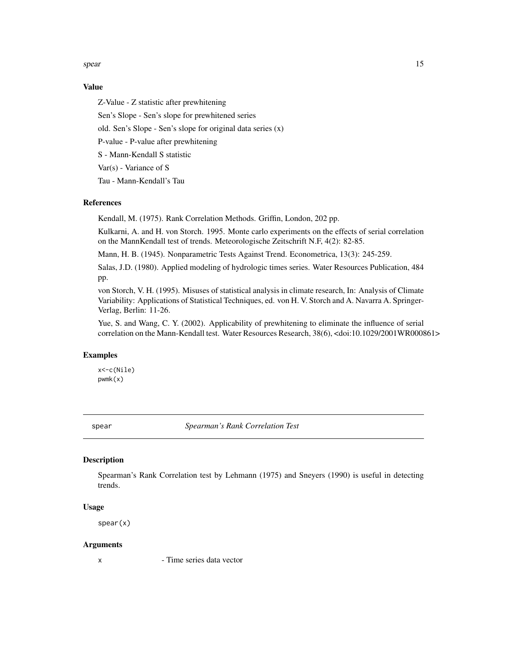<span id="page-14-0"></span>spear and the spear and the spear and the spear and the spear and the spear and the spear and the spear and the spear and the spear and the spear and the spear and the spear and the spear and the spear and the spear and th

#### Value

Z-Value - Z statistic after prewhitening Sen's Slope - Sen's slope for prewhitened series old. Sen's Slope - Sen's slope for original data series (x) P-value - P-value after prewhitening S - Mann-Kendall S statistic Var(s) - Variance of S Tau - Mann-Kendall's Tau

#### References

Kendall, M. (1975). Rank Correlation Methods. Griffin, London, 202 pp.

Kulkarni, A. and H. von Storch. 1995. Monte carlo experiments on the effects of serial correlation on the MannKendall test of trends. Meteorologische Zeitschrift N.F, 4(2): 82-85.

Mann, H. B. (1945). Nonparametric Tests Against Trend. Econometrica, 13(3): 245-259.

Salas, J.D. (1980). Applied modeling of hydrologic times series. Water Resources Publication, 484 pp.

von Storch, V. H. (1995). Misuses of statistical analysis in climate research, In: Analysis of Climate Variability: Applications of Statistical Techniques, ed. von H. V. Storch and A. Navarra A. Springer-Verlag, Berlin: 11-26.

Yue, S. and Wang, C. Y. (2002). Applicability of prewhitening to eliminate the influence of serial correlation on the Mann-Kendall test. Water Resources Research, 38(6), <doi:10.1029/2001WR000861>

#### Examples

x<-c(Nile) pwmk(x)

spear *Spearman's Rank Correlation Test*

#### Description

Spearman's Rank Correlation test by Lehmann (1975) and Sneyers (1990) is useful in detecting trends.

#### Usage

spear(x)

#### Arguments

x - Time series data vector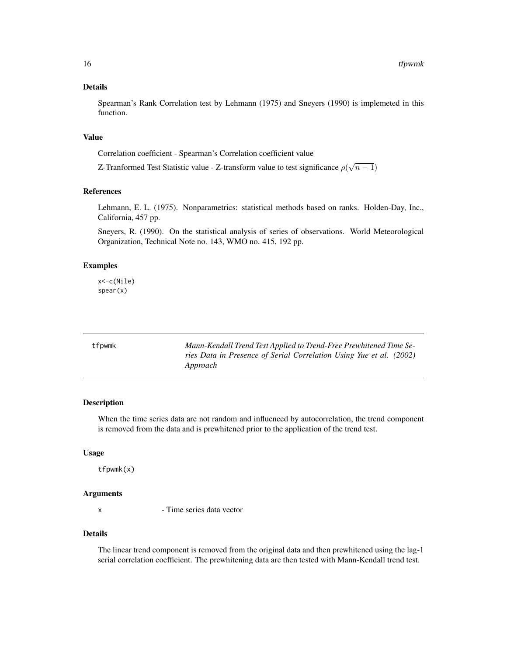#### <span id="page-15-0"></span>Details

Spearman's Rank Correlation test by Lehmann (1975) and Sneyers (1990) is implemeted in this function.

#### Value

Correlation coefficient - Spearman's Correlation coefficient value

Z-Tranformed Test Statistic value - Z-transform value to test significance  $\rho(\sqrt{n-1})$ 

#### References

Lehmann, E. L. (1975). Nonparametrics: statistical methods based on ranks. Holden-Day, Inc., California, 457 pp.

Sneyers, R. (1990). On the statistical analysis of series of observations. World Meteorological Organization, Technical Note no. 143, WMO no. 415, 192 pp.

#### Examples

x<-c(Nile) spear(x)

| tfpwmk | Mann-Kendall Trend Test Applied to Trend-Free Prewhitened Time Se-  |
|--------|---------------------------------------------------------------------|
|        | ries Data in Presence of Serial Correlation Using Yue et al. (2002) |
|        | Approach                                                            |

#### Description

When the time series data are not random and influenced by autocorrelation, the trend component is removed from the data and is prewhitened prior to the application of the trend test.

#### Usage

tfpwmk(x)

#### Arguments

x - Time series data vector

#### Details

The linear trend component is removed from the original data and then prewhitened using the lag-1 serial correlation coefficient. The prewhitening data are then tested with Mann-Kendall trend test.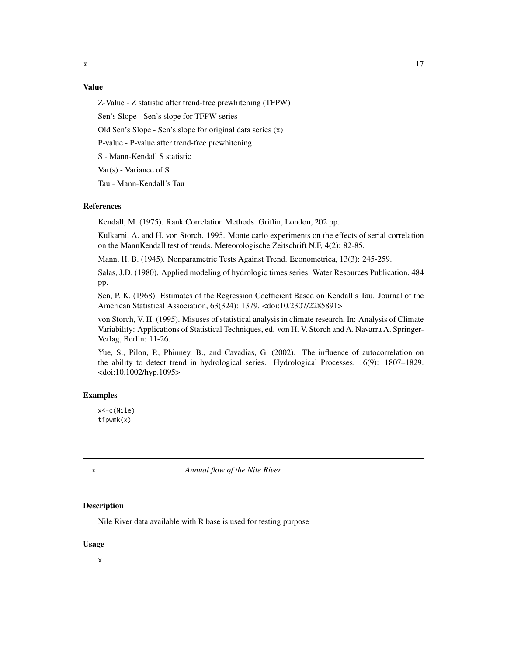#### <span id="page-16-0"></span>Value

Z-Value - Z statistic after trend-free prewhitening (TFPW)

Sen's Slope - Sen's slope for TFPW series

Old Sen's Slope - Sen's slope for original data series (x)

P-value - P-value after trend-free prewhitening

S - Mann-Kendall S statistic

Var(s) - Variance of S

Tau - Mann-Kendall's Tau

#### References

Kendall, M. (1975). Rank Correlation Methods. Griffin, London, 202 pp.

Kulkarni, A. and H. von Storch. 1995. Monte carlo experiments on the effects of serial correlation on the MannKendall test of trends. Meteorologische Zeitschrift N.F, 4(2): 82-85.

Mann, H. B. (1945). Nonparametric Tests Against Trend. Econometrica, 13(3): 245-259.

Salas, J.D. (1980). Applied modeling of hydrologic times series. Water Resources Publication, 484 pp.

Sen, P. K. (1968). Estimates of the Regression Coefficient Based on Kendall's Tau. Journal of the American Statistical Association, 63(324): 1379. <doi:10.2307/2285891>

von Storch, V. H. (1995). Misuses of statistical analysis in climate research, In: Analysis of Climate Variability: Applications of Statistical Techniques, ed. von H. V. Storch and A. Navarra A. Springer-Verlag, Berlin: 11-26.

Yue, S., Pilon, P., Phinney, B., and Cavadias, G. (2002). The influence of autocorrelation on the ability to detect trend in hydrological series. Hydrological Processes, 16(9): 1807–1829. <doi:10.1002/hyp.1095>

#### Examples

x<-c(Nile) tfpwmk(x)

x *Annual flow of the Nile River*

#### Description

Nile River data available with R base is used for testing purpose

#### Usage

x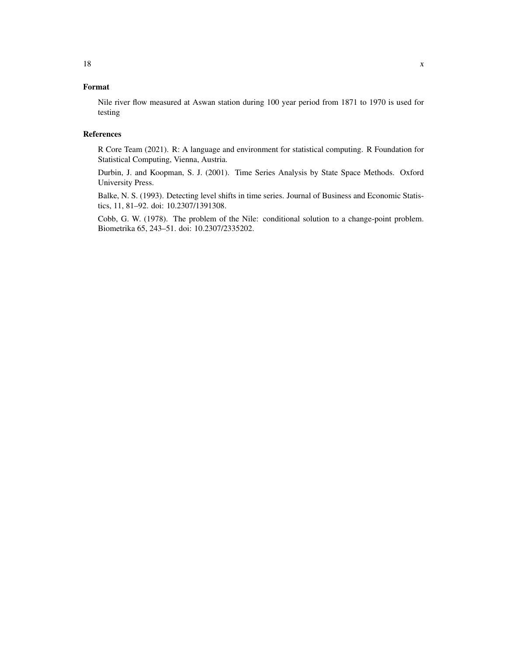### Format

Nile river flow measured at Aswan station during 100 year period from 1871 to 1970 is used for testing

#### References

R Core Team (2021). R: A language and environment for statistical computing. R Foundation for Statistical Computing, Vienna, Austria.

Durbin, J. and Koopman, S. J. (2001). Time Series Analysis by State Space Methods. Oxford University Press.

Balke, N. S. (1993). Detecting level shifts in time series. Journal of Business and Economic Statistics, 11, 81–92. doi: 10.2307/1391308.

Cobb, G. W. (1978). The problem of the Nile: conditional solution to a change-point problem. Biometrika 65, 243–51. doi: 10.2307/2335202.